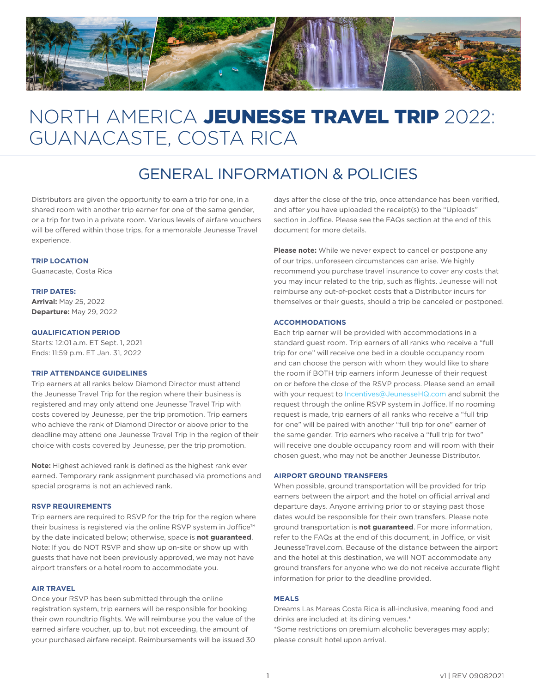

# NORTH AMERICA JEUNESSE TRAVEL TRIP 2022: GUANACASTE, COSTA RICA

# GENERAL INFORMATION & POLICIES

Distributors are given the opportunity to earn a trip for one, in a shared room with another trip earner for one of the same gender, or a trip for two in a private room. Various levels of airfare vouchers will be offered within those trips, for a memorable Jeunesse Travel experience.

#### **TRIP LOCATION**

Guanacaste, Costa Rica

#### **TRIP DATES:**

**Arrival:** May 25, 2022 **Departure:** May 29, 2022

#### **QUALIFICATION PERIOD**

Starts: 12:01 a.m. ET Sept. 1, 2021 Ends: 11:59 p.m. ET Jan. 31, 2022

#### **TRIP ATTENDANCE GUIDELINES**

Trip earners at all ranks below Diamond Director must attend the Jeunesse Travel Trip for the region where their business is registered and may only attend one Jeunesse Travel Trip with costs covered by Jeunesse, per the trip promotion. Trip earners who achieve the rank of Diamond Director or above prior to the deadline may attend one Jeunesse Travel Trip in the region of their choice with costs covered by Jeunesse, per the trip promotion.

**Note:** Highest achieved rank is defined as the highest rank ever earned. Temporary rank assignment purchased via promotions and special programs is not an achieved rank.

#### **RSVP REQUIREMENTS**

Trip earners are required to RSVP for the trip for the region where their business is registered via the online RSVP system in Joffice™ by the date indicated below; otherwise, space is **not guaranteed**. Note: If you do NOT RSVP and show up on-site or show up with guests that have not been previously approved, we may not have airport transfers or a hotel room to accommodate you.

#### **AIR TRAVEL**

Once your RSVP has been submitted through the online registration system, trip earners will be responsible for booking their own roundtrip flights. We will reimburse you the value of the earned airfare voucher, up to, but not exceeding, the amount of your purchased airfare receipt. Reimbursements will be issued 30

days after the close of the trip, once attendance has been verified, and after you have uploaded the receipt(s) to the "Uploads" section in Joffice. Please see the FAQs section at the end of this document for more details.

**Please note:** While we never expect to cancel or postpone any of our trips, unforeseen circumstances can arise. We highly recommend you purchase travel insurance to cover any costs that you may incur related to the trip, such as flights. Jeunesse will not reimburse any out-of-pocket costs that a Distributor incurs for themselves or their guests, should a trip be canceled or postponed.

# **ACCOMMODATIONS**

Each trip earner will be provided with accommodations in a standard guest room. Trip earners of all ranks who receive a "full trip for one" will receive one bed in a double occupancy room and can choose the person with whom they would like to share the room if BOTH trip earners inform Jeunesse of their request on or before the close of the RSVP process. Please send an email with your request to Incentives@JeunesseHQ.com and submit the request through the online RSVP system in Joffice. If no rooming request is made, trip earners of all ranks who receive a "full trip for one" will be paired with another "full trip for one" earner of the same gender. Trip earners who receive a "full trip for two" will receive one double occupancy room and will room with their chosen guest, who may not be another Jeunesse Distributor.

#### **AIRPORT GROUND TRANSFERS**

When possible, ground transportation will be provided for trip earners between the airport and the hotel on official arrival and departure days. Anyone arriving prior to or staying past those dates would be responsible for their own transfers. Please note ground transportation is **not guaranteed**. For more information, refer to the FAQs at the end of this document, in Joffice, or visit JeunesseTravel.com. Because of the distance between the airport and the hotel at this destination, we will NOT accommodate any ground transfers for anyone who we do not receive accurate flight information for prior to the deadline provided.

### **MEALS**

Dreams Las Mareas Costa Rica is all-inclusive, meaning food and drinks are included at its dining venues.\* \*Some restrictions on premium alcoholic beverages may apply; please consult hotel upon arrival.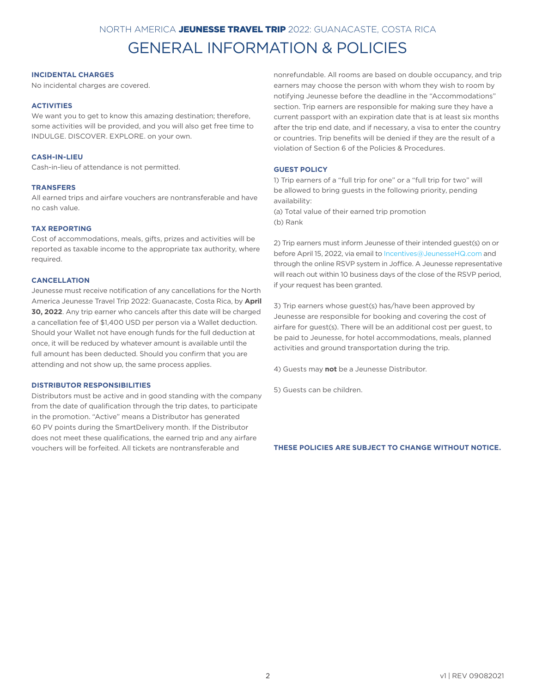# NORTH AMERICA JEUNESSE TRAVEL TRIP 2022: GUANACASTE, COSTA RICA

# GENERAL INFORMATION & POLICIES

### **INCIDENTAL CHARGES**

No incidental charges are covered.

#### **ACTIVITIES**

We want you to get to know this amazing destination; therefore, some activities will be provided, and you will also get free time to INDULGE. DISCOVER. EXPLORE. on your own.

# **CASH-IN-LIEU**

Cash-in-lieu of attendance is not permitted.

### **TRANSFERS**

All earned trips and airfare vouchers are nontransferable and have no cash value.

### **TAX REPORTING**

Cost of accommodations, meals, gifts, prizes and activities will be reported as taxable income to the appropriate tax authority, where required.

### **CANCELLATION**

Jeunesse must receive notification of any cancellations for the North America Jeunesse Travel Trip 2022: Guanacaste, Costa Rica, by **April 30, 2022**. Any trip earner who cancels after this date will be charged a cancellation fee of \$1,400 USD per person via a Wallet deduction. Should your Wallet not have enough funds for the full deduction at once, it will be reduced by whatever amount is available until the full amount has been deducted. Should you confirm that you are attending and not show up, the same process applies.

#### **DISTRIBUTOR RESPONSIBILITIES**

Distributors must be active and in good standing with the company from the date of qualification through the trip dates, to participate in the promotion. "Active" means a Distributor has generated 60 PV points during the SmartDelivery month. If the Distributor does not meet these qualifications, the earned trip and any airfare vouchers will be forfeited. All tickets are nontransferable and

nonrefundable. All rooms are based on double occupancy, and trip earners may choose the person with whom they wish to room by notifying Jeunesse before the deadline in the "Accommodations" section. Trip earners are responsible for making sure they have a current passport with an expiration date that is at least six months after the trip end date, and if necessary, a visa to enter the country or countries. Trip benefits will be denied if they are the result of a violation of Section 6 of the Policies & Procedures.

# **GUEST POLICY**

1) Trip earners of a "full trip for one" or a "full trip for two" will be allowed to bring guests in the following priority, pending availability:

(a) Total value of their earned trip promotion (b) Rank

2) Trip earners must inform Jeunesse of their intended guest(s) on or before April 15, 2022, via email to Incentives@JeunesseHQ.com and through the online RSVP system in Joffice. A Jeunesse representative will reach out within 10 business days of the close of the RSVP period, if your request has been granted.

3) Trip earners whose guest(s) has/have been approved by Jeunesse are responsible for booking and covering the cost of airfare for guest(s). There will be an additional cost per guest, to be paid to Jeunesse, for hotel accommodations, meals, planned activities and ground transportation during the trip.

4) Guests may **not** be a Jeunesse Distributor.

5) Guests can be children.

#### **THESE POLICIES ARE SUBJECT TO CHANGE WITHOUT NOTICE.**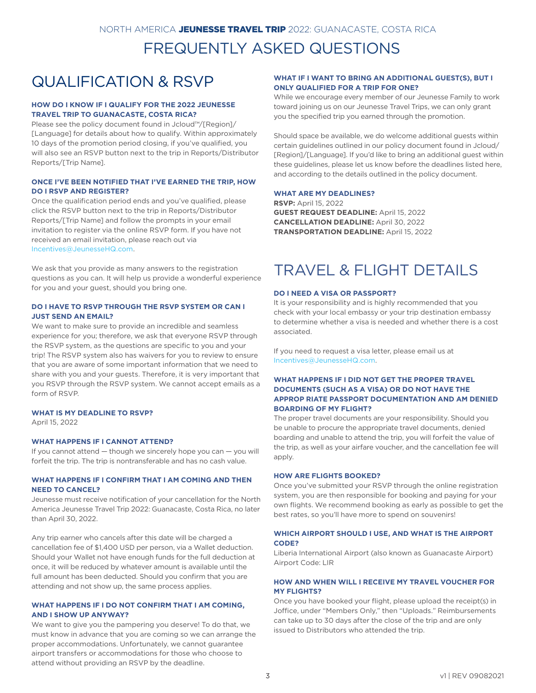# FREQUENTLY ASKED QUESTIONS

# QUALIFICATION & RSVP

### **HOW DO I KNOW IF I QUALIFY FOR THE 2022 JEUNESSE TRAVEL TRIP TO GUANACASTE, COSTA RICA?**

Please see the policy document found in Jcloud™/[Region]/ [Language] for details about how to qualify. Within approximately 10 days of the promotion period closing, if you've qualified, you will also see an RSVP button next to the trip in Reports/Distributor Reports/[Trip Name].

# **ONCE I'VE BEEN NOTIFIED THAT I'VE EARNED THE TRIP, HOW DO I RSVP AND REGISTER?**

Once the qualification period ends and you've qualified, please click the RSVP button next to the trip in Reports/Distributor Reports/[Trip Name] and follow the prompts in your email invitation to register via the online RSVP form. If you have not received an email invitation, please reach out via Incentives@JeunesseHQ.com.

We ask that you provide as many answers to the registration questions as you can. It will help us provide a wonderful experience for you and your guest, should you bring one.

## **DO I HAVE TO RSVP THROUGH THE RSVP SYSTEM OR CAN I JUST SEND AN EMAIL?**

We want to make sure to provide an incredible and seamless experience for you; therefore, we ask that everyone RSVP through the RSVP system, as the questions are specific to you and your trip! The RSVP system also has waivers for you to review to ensure that you are aware of some important information that we need to share with you and your guests. Therefore, it is very important that you RSVP through the RSVP system. We cannot accept emails as a form of RSVP.

#### **WHAT IS MY DEADLINE TO RSVP?**

April 15, 2022

## **WHAT HAPPENS IF I CANNOT ATTEND?**

If you cannot attend — though we sincerely hope you can — you will forfeit the trip. The trip is nontransferable and has no cash value.

### **WHAT HAPPENS IF I CONFIRM THAT I AM COMING AND THEN NEED TO CANCEL?**

Jeunesse must receive notification of your cancellation for the North America Jeunesse Travel Trip 2022: Guanacaste, Costa Rica, no later than April 30, 2022.

Any trip earner who cancels after this date will be charged a cancellation fee of \$1,400 USD per person, via a Wallet deduction. Should your Wallet not have enough funds for the full deduction at once, it will be reduced by whatever amount is available until the full amount has been deducted. Should you confirm that you are attending and not show up, the same process applies.

## **WHAT HAPPENS IF I DO NOT CONFIRM THAT I AM COMING, AND I SHOW UP ANYWAY?**

We want to give you the pampering you deserve! To do that, we must know in advance that you are coming so we can arrange the proper accommodations. Unfortunately, we cannot guarantee airport transfers or accommodations for those who choose to attend without providing an RSVP by the deadline.

# **WHAT IF I WANT TO BRING AN ADDITIONAL GUEST(S), BUT I ONLY QUALIFIED FOR A TRIP FOR ONE?**

While we encourage every member of our Jeunesse Family to work toward joining us on our Jeunesse Travel Trips, we can only grant you the specified trip you earned through the promotion.

Should space be available, we do welcome additional guests within certain guidelines outlined in our policy document found in Jcloud/ [Region]/[Language]. If you'd like to bring an additional guest within these guidelines, please let us know before the deadlines listed here, and according to the details outlined in the policy document.

## **WHAT ARE MY DEADLINES?**

**RSVP:** April 15, 2022 **GUEST REQUEST DEADLINE:** April 15, 2022 **CANCELLATION DEADLINE:** April 30, 2022 **TRANSPORTATION DEADLINE:** April 15, 2022

# TRAVEL & FLIGHT DETAILS

#### **DO I NEED A VISA OR PASSPORT?**

It is your responsibility and is highly recommended that you check with your local embassy or your trip destination embassy to determine whether a visa is needed and whether there is a cost associated.

If you need to request a visa letter, please email us at Incentives@JeunesseHQ.com.

# **WHAT HAPPENS IF I DID NOT GET THE PROPER TRAVEL DOCUMENTS (SUCH AS A VISA) OR DO NOT HAVE THE APPROP RIATE PASSPORT DOCUMENTATION AND AM DENIED BOARDING OF MY FLIGHT?**

The proper travel documents are your responsibility. Should you be unable to procure the appropriate travel documents, denied boarding and unable to attend the trip, you will forfeit the value of the trip, as well as your airfare voucher, and the cancellation fee will apply.

#### **HOW ARE FLIGHTS BOOKED?**

Once you've submitted your RSVP through the online registration system, you are then responsible for booking and paying for your own flights. We recommend booking as early as possible to get the best rates, so you'll have more to spend on souvenirs!

### **WHICH AIRPORT SHOULD I USE, AND WHAT IS THE AIRPORT CODE?**

Liberia International Airport (also known as Guanacaste Airport) Airport Code: LIR

#### **HOW AND WHEN WILL I RECEIVE MY TRAVEL VOUCHER FOR MY FLIGHTS?**

Once you have booked your flight, please upload the receipt(s) in Joffice, under "Members Only," then "Uploads." Reimbursements can take up to 30 days after the close of the trip and are only issued to Distributors who attended the trip.